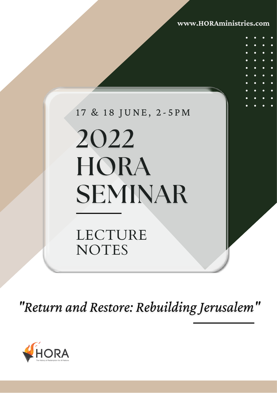**www.HORAministries.com**

# 17 & 18 JUNE, 2-5 PM

# 2022 HORA **SEMINAR**

# LECTURE NOTES

"Return and Restore: Rebuilding Jerusalem"

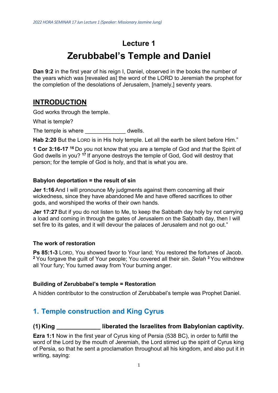# **Lecture 1 Zerubbabel's Temple and Daniel**

**Dan 9:2** in the first year of his reign I, Daniel, observed in the books the number of the years which was [revealed as] the word of the LORD to Jeremiah the prophet for the completion of the desolations of Jerusalem, [namely,] seventy years.

# **INTRODUCTION**

God works through the temple.

What is temple?

The temple is where **the set of the temple is where**  $\mathbf{d}$  dwells.

**Hab 2:20** But the LORD is in His holy temple. Let all the earth be silent before Him."

**1 Cor 3:16-17 <sup>16</sup>** Do you not know that you are a temple of God and *that* the Spirit of God dwells in you? **<sup>17</sup>** If anyone destroys the temple of God, God will destroy that person; for the temple of God is holy, and that is what you are.

#### **Babylon deportation = the result of sin**

**Jer 1:16** And I will pronounce My judgments against them concerning all their wickedness, since they have abandoned Me and have offered sacrifices to other gods, and worshiped the works of their own hands.

**Jer 17:27** But if you do not listen to Me, to keep the Sabbath day holy by not carrying a load and coming in through the gates of Jerusalem on the Sabbath day, then I will set fire to its gates, and it will devour the palaces of Jerusalem and not go out."

#### **The work of restoration**

**Ps 85:1-3** LORD, You showed favor to Your land; You restored the fortunes of Jacob. **<sup>2</sup>**You forgave the guilt of Your people; You covered all their sin. *Selah* **<sup>3</sup>**You withdrew all Your fury; You turned away from Your burning anger.

#### **Building of Zerubbabel's temple = Restoration**

A hidden contributor to the construction of Zerubbabel's temple was Prophet Daniel.

## **1. Temple construction and King Cyrus**

#### **(1) King \_\_\_\_\_\_\_\_\_\_\_\_\_ liberated the Israelites from Babylonian captivity.**

**Ezra 1:1** Now in the first year of Cyrus king of Persia (538 BC), in order to fulfill the word of the Lord by the mouth of Jeremiah, the Lord stirred up the spirit of Cyrus king of Persia, so that he sent a proclamation throughout all his kingdom, and also put it in writing, saying: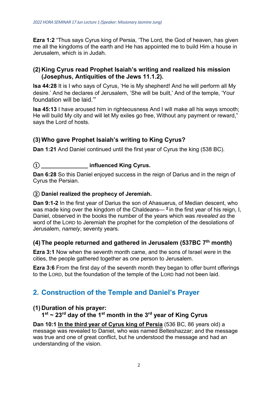**Ezra 1:2** "Thus says Cyrus king of Persia, 'The Lord, the God of heaven, has given me all the kingdoms of the earth and He has appointed me to build Him a house in Jerusalem, which is in Judah.

#### **(2) King Cyrus read Prophet Isaiah's writing and realized his mission (Josephus, Antiquities of the Jews 11.1.2).**

**Isa 44:28** It is I who says of Cyrus, 'He is My shepherd! And he will perform all My desire.' And he declares of Jerusalem, 'She will be built,' And of the temple, 'Your foundation will be laid.'"

**Isa 45:13** I have aroused him in righteousness And I will make all his ways smooth; He will build My city and will let My exiles go free, Without any payment or reward," says the Lord of hosts.

#### **(3) Who gave Prophet Isaiah's writing to King Cyrus?**

**Dan 1:21** And Daniel continued until the first year of Cyrus the king (538 BC).

#### ① **\_\_\_\_\_\_\_\_\_\_\_\_\_\_\_ influenced King Cyrus.**

**Dan 6:28** So this Daniel enjoyed success in the reign of Darius and in the reign of Cyrus the Persian.

#### ② **Daniel realized the prophecy of Jeremiah.**

**Dan 9:1-2** In the first year of Darius the son of Ahasuerus, of Median descent, who was made king over the kingdom of the Chaldeans— **<sup>2</sup>**in the first year of his reign, I, Daniel, observed in the books the number of the years which was *revealed as* the word of the LORD to Jeremiah the prophet for the completion of the desolations of Jerusalem, *namely*, seventy years.

#### **(4) The people returned and gathered in Jerusalem (537BC 7th month)**

**Ezra 3:1** Now when the seventh month came, and the sons of Israel *were* in the cities, the people gathered together as one person to Jerusalem.

**Ezra 3:6** From the first day of the seventh month they began to offer burnt offerings to the LORD, but the foundation of the temple of the LORD had not been laid.

# **2. Construction of the Temple and Daniel's Prayer**

#### **(1) Duration of his prayer:**

#### **1st ~ 23rd day of the 1st month in the 3rd year of King Cyrus**

**Dan 10:1 In the third year of Cyrus king of Persia** (536 BC, 86 years old) a message was revealed to Daniel, who was named Belteshazzar; and the message was true and one of great conflict, but he understood the message and had an understanding of the vision.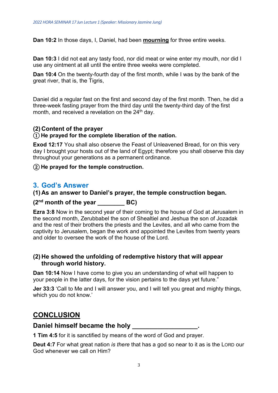**Dan 10:2** In those days, I, Daniel, had been **mourning** for three entire weeks.

**Dan 10:3** I did not eat any tasty food, nor did meat or wine enter my mouth, nor did I use any ointment at all until the entire three weeks were completed.

**Dan 10:4** On the twenty-fourth day of the first month, while I was by the bank of the great river, that is, the Tigris,

Daniel did a regular fast on the first and second day of the first month. Then, he did a three-week fasting prayer from the third day until the twenty-third day of the first month, and received a revelation on the  $24<sup>th</sup>$  day.

#### **(2) Content of the prayer**

#### ① **He prayed for the complete liberation of the nation.**

**Exod 12:17** You shall also observe the Feast of Unleavened Bread, for on this very day I brought your hosts out of the land of Egypt; therefore you shall observe this day throughout your generations as a permanent ordinance.

② **He prayed for the temple construction.**

#### **3. God's Answer**

#### **(1) As an answer to Daniel's prayer, the temple construction began.**

#### **(2nd month of the year \_\_\_\_\_\_\_\_ BC)**

**Ezra 3:8** Now in the second year of their coming to the house of God at Jerusalem in the second month, Zerubbabel the son of Shealtiel and Jeshua the son of Jozadak and the rest of their brothers the priests and the Levites, and all who came from the captivity to Jerusalem, began the work and appointed the Levites from twenty years and older to oversee the work of the house of the Lord.

#### **(2) He showed the unfolding of redemptive history that will appear through world history.**

**Dan 10:14** Now I have come to give you an understanding of what will happen to your people in the latter days, for the vision pertains to the days yet future."

**Jer 33:3** 'Call to Me and I will answer you, and I will tell you great and mighty things, which you do not know.'

#### **CONCLUSION**

#### Daniel himself became the holy **Daniel himself**

**1 Tim 4:5** for it is sanctified by means of the word of God and prayer.

**Deut 4:7** For what great nation *is there* that has a god so near to it as is the LORD our God whenever we call on Him?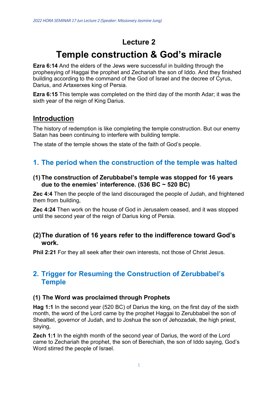# **Lecture 2**

# **Temple construction & God's miracle**

**Ezra 6:14** And the elders of the Jews were successful in building through the prophesying of Haggai the prophet and Zechariah the son of Iddo. And they finished building according to the command of the God of Israel and the decree of Cyrus, Darius, and Artaxerxes king of Persia.

**Ezra 6:15** This temple was completed on the third day of the month Adar; it was the sixth year of the reign of King Darius.

#### **Introduction**

The history of redemption is like completing the temple construction. But our enemy Satan has been continuing to interfere with building temple.

The state of the temple shows the state of the faith of God's people.

#### **1. The period when the construction of the temple was halted**

#### **(1) The construction of Zerubbabel's temple was stopped for 16 years due to the enemies' interference. (536 BC ~ 520 BC)**

**Zec 4:4** Then the people of the land discouraged the people of Judah, and frightened them from building,

**Zec 4:24** Then work on the house of God in Jerusalem ceased, and it was stopped until the second year of the reign of Darius king of Persia.

#### **(2)The duration of 16 years refer to the indifference toward God's work.**

**Phil 2:21** For they all seek after their own interests, not those of Christ Jesus.

#### **2. Trigger for Resuming the Construction of Zerubbabel's Temple**

#### **(1) The Word was proclaimed through Prophets**

**Hag 1:1** In the second year (520 BC) of Darius the king, on the first day of the sixth month, the word of the Lord came by the prophet Haggai to Zerubbabel the son of Shealtiel, governor of Judah, and to Joshua the son of Jehozadak, the high priest, saying,

**Zech 1:1** In the eighth month of the second year of Darius, the word of the Lord came to Zechariah the prophet, the son of Berechiah, the son of Iddo saying, God's Word stirred the people of Israel.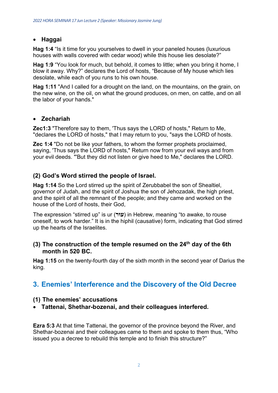#### • **Haggai**

**Hag 1:4** "Is it time for you yourselves to dwell in your paneled houses (luxurious houses with walls covered with cedar wood) while this house lies desolate?"

**Hag 1:9** "You look for much, but behold, it comes to little; when you bring it home, I blow it away. Why?" declares the Lord of hosts, "Because of My house which lies desolate, while each of you runs to his own house.

**Hag 1:11** "And I called for a drought on the land, on the mountains, on the grain, on the new wine, on the oil, on what the ground produces, on men, on cattle, and on all the labor of your hands."

#### • **Zechariah**

**Zec1:3** "Therefore say to them, 'Thus says the LORD of hosts," Return to Me, "declares the LORD of hosts," that I may return to you, "says the LORD of hosts.

**Zec 1:4** "Do not be like your fathers, to whom the former prophets proclaimed, saying, 'Thus says the LORD of hosts," Return now from your evil ways and from your evil deeds. "'But they did not listen or give heed to Me," declares the LORD.

#### **(2) God's Word stirred the people of Israel.**

**Hag 1:14** So the Lord stirred up the spirit of Zerubbabel the son of Shealtiel, governor of Judah, and the spirit of Joshua the son of Jehozadak, the high priest, and the spirit of all the remnant of the people; and they came and worked on the house of the Lord of hosts, their God,

The expression "stirred up" is ur (**עוּר** (in Hebrew, meaning "to awake, to rouse oneself, to work harder." It is in the hiphil (causative) form, indicating that God stirred up the hearts of the Israelites.

#### **(3) The construction of the temple resumed on the 24th day of the 6th month in 520 BC.**

**Hag 1:15** on the twenty-fourth day of the sixth month in the second year of Darius the king.

## **3. Enemies' Interference and the Discovery of the Old Decree**

#### **(1) The enemies' accusations**

• **Tattenai, Shethar-bozenai, and their colleagues interfered.** 

**Ezra 5:3** At that time Tattenai, the governor of the province beyond the River, and Shethar-bozenai and their colleagues came to them and spoke to them thus, "Who issued you a decree to rebuild this temple and to finish this structure?"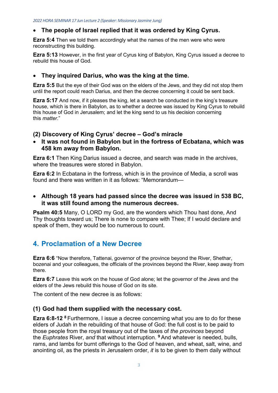#### • **The people of Israel replied that it was ordered by King Cyrus.**

**Ezra 5:4** Then we told them accordingly what the names of the men were who were reconstructing this building.

**Ezra 5:13** However, in the first year of Cyrus king of Babylon, King Cyrus issued a decree to rebuild this house of God.

#### • **They inquired Darius, who was the king at the time.**

**Ezra 5:5** But the eye of their God was on the elders of the Jews, and they did not stop them until the report could reach Darius, and then the decree concerning it could be sent back.

**Ezra 5:17** And now, if it pleases the king, let a search be conducted in the king's treasure house, which is there in Babylon, as to whether a decree was issued by King Cyrus to rebuild this house of God in Jerusalem; and let the king send to us his decision concerning this *matter*."

#### **(2) Discovery of King Cyrus' decree – God's miracle**

• **It was not found in Babylon but in the fortress of Ecbatana, which was 458 km away from Babylon.** 

**Ezra 6:1** Then King Darius issued a decree, and search was made in the archives, where the treasures were stored in Babylon.

**Ezra 6:2** In Ecbatana in the fortress, which is in the province of Media, a scroll was found and there was written in it as follows: "Memorandum—

#### • **Although 18 years had passed since the decree was issued in 538 BC, it was still found among the numerous decrees.**

**Psalm 40:5** Many, O LORD my God, are the wonders which Thou hast done, And Thy thoughts toward us; There is none to compare with Thee; If I would declare and speak of them, they would be too numerous to count.

# **4. Proclamation of a New Decree**

**Ezra 6:6** "Now therefore, Tattenai, governor of the province beyond the River, Shethar, bozenai and your colleagues, the officials of the provinces beyond the River, keep away from there.

**Ezra 6:7** Leave this work on the house of God alone; let the governor of the Jews and the elders of the Jews rebuild this house of God on its site.

The content of the new decree is as follows:

#### **(1) God had them supplied with the necessary cost.**

**Ezra 6:8-12 <sup>8</sup>**Furthermore, I issue a decree concerning what you are to do for these elders of Judah in the rebuilding of that house of God: the full cost is to be paid to those people from the royal treasury out of the taxes of *the provinces* beyond the *Euphrates* River, *and* that without interruption. **<sup>9</sup>**And whatever is needed, bulls, rams, and lambs for burnt offerings to the God of heaven, and wheat, salt, wine, and anointing oil, as the priests in Jerusalem order, *it* is to be given to them daily without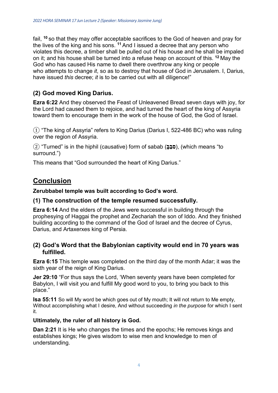fail, **<sup>10</sup>** so that they may offer acceptable sacrifices to the God of heaven and pray for the lives of the king and his sons. **<sup>11</sup>** And I issued a decree that any person who violates this decree, a timber shall be pulled out of his house and he shall be impaled on it; and his house shall be turned into a refuse heap on account of this. **<sup>12</sup>** May the God who has caused His name to dwell there overthrow any king or people who attempts to change *it*, so as to destroy that house of God in Jerusalem. I, Darius, have issued *this* decree; *it* is to be carried out with all diligence!"

#### **(2) God moved King Darius.**

**Ezra 6:22** And they observed the Feast of Unleavened Bread seven days with joy, for the Lord had caused them to rejoice, and had turned the heart of the king of Assyria toward them to encourage them in the work of the house of God, the God of Israel.

 $\Omega$  "The king of Assyria" refers to King Darius (Darius I, 522-486 BC) who was ruling over the region of Assyria.

② "Turned" is in the hiphil (causative) form of sabab ( **ָב ַסב**(,) which means "to surround.")

This means that "God surrounded the heart of King Darius."

# **Conclusion**

**Zerubbabel temple was built according to God's word.**

#### **(1) The construction of the temple resumed successfully.**

**Ezra 6:14** And the elders of the Jews were successful in building through the prophesying of Haggai the prophet and Zechariah the son of Iddo. And they finished building according to the command of the God of Israel and the decree of Cyrus, Darius, and Artaxerxes king of Persia.

#### **(2) God's Word that the Babylonian captivity would end in 70 years was fulfilled.**

**Ezra 6:15** This temple was completed on the third day of the month Adar; it was the sixth year of the reign of King Darius.

**Jer 29:10** "For thus says the Lord, 'When seventy years have been completed for Babylon, I will visit you and fulfill My good word to you, to bring you back to this place."

**Isa 55:11** So will My word be which goes out of My mouth; It will not return to Me empty, Without accomplishing what I desire, And without succeeding *in the purpose* for which I sent it.

#### **Ultimately, the ruler of all history is God.**

**Dan 2:21** It is He who changes the times and the epochs; He removes kings and establishes kings; He gives wisdom to wise men and knowledge to men of understanding.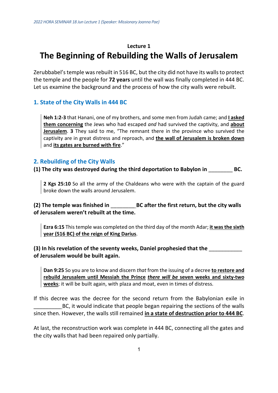# **Lecture 1 The Beginning of Rebuilding the Walls of Jerusalem**

Zerubbabel's temple was rebuilt in 516 BC, but the city did not have its walls to protect the temple and the people for **72 years** until the wall was finally completed in 444 BC. Let us examine the background and the process of how the city walls were rebuilt.

#### **1. State of the City Walls in 444 BC**

**Neh 1:2-3** that Hanani, one of my brothers, and some men from Judah came; and **I asked them concerning** the Jews who had escaped *and* had survived the captivity, and **about Jerusalem**. **3** They said to me, "The remnant there in the province who survived the captivity are in great distress and reproach, and **the wall of Jerusalem is broken down** and **its gates are burned with fire**."

#### **2. Rebuilding of the City Walls**

**(1) The city was destroyed during the third deportation to Babylon in** \_\_\_\_\_\_\_\_ **BC.**

**2 Kgs 25:10** So all the army of the Chaldeans who were with the captain of the guard broke down the walls around Jerusalem.

**(2) The temple was finished in** \_\_\_\_\_\_\_\_ **BC after the first return, but the city walls of Jerusalem weren't rebuilt at the time.**

**Ezra 6:15** This temple was completed on the third day of the month Adar; **it was the sixth year (516 BC) of the reign of King Darius**.

**(3) In his revelation of the seventy weeks, Daniel prophesied that the** \_\_\_\_\_\_\_\_\_\_\_ **of Jerusalem would be built again.** 

**Dan 9:25** So you are to know and discern *that* from the issuing of a decree **to restore and rebuild Jerusalem until Messiah the Prince** *there will be* **seven weeks and sixty-two weeks**; it will be built again, with plaza and moat, even in times of distress.

If this decree was the decree for the second return from the Babylonian exile in \_\_\_\_\_\_\_\_\_ BC, it would indicate that people began repairing the sections of the walls since then. However, the walls still remained **in a state of destruction prior to 444 BC**.

At last, the reconstruction work was complete in 444 BC, connecting all the gates and the city walls that had been repaired only partially.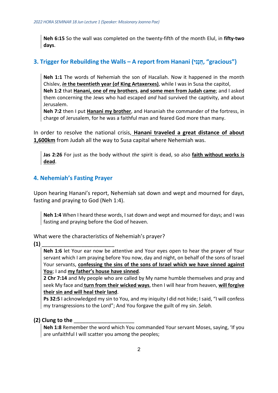**Neh 6:15** So the wall was completed on the twenty-fifth of the month Elul, in **fifty-two days**.

#### **3. Trigger for Rebuilding the Walls – A report from Hanani (י ִנָנֲח," gracious")**

**Neh 1:1** The words of Nehemiah the son of Hacaliah. Now it happened in the month Chislev, *in* **the twentieth year (of King Artaxerxes)**, while I was in Susa the capitol,

**Neh 1:2** that **Hanani, one of my brothers**, **and some men from Judah came**; and I asked them concerning the Jews who had escaped *and* had survived the captivity, and about Jerusalem.

**Neh 7:2** then I put **Hanani my brother**, and Hananiah the commander of the fortress, in charge of Jerusalem, for he was a faithful man and feared God more than many.

In order to resolve the national crisis, **Hanani traveled a great distance of about 1,600km** from Judah all the way to Susa capital where Nehemiah was.

**Jas 2:26** For just as the body without *the* spirit is dead, so also **faith without works is dead**.

#### **4. Nehemiah's Fasting Prayer**

Upon hearing Hanani's report, Nehemiah sat down and wept and mourned for days, fasting and praying to God (Neh 1:4).

**Neh 1:4** When I heard these words, I sat down and wept and mourned for days; and I was fasting and praying before the God of heaven.

What were the characteristics of Nehemiah's prayer?

#### **(1)** \_\_\_\_\_\_\_\_\_\_\_\_\_\_\_\_\_\_\_\_\_\_\_\_

**Neh 1:6** let Your ear now be attentive and Your eyes open to hear the prayer of Your servant which I am praying before You now, day and night, on behalf of the sons of Israel Your servants, **confessing the sins of the sons of Israel which we have sinned against You**; I and **my father's house have sinned**.

**2 Chr 7:14** and My people who are called by My name humble themselves and pray and seek My face and **turn from their wicked ways**, then I will hear from heaven, **will forgive their sin and will heal their land**.

**Ps 32:5** I acknowledged my sin to You, and my iniquity I did not hide; I said, "I will confess my transgressions to the Lord"; And You forgave the guilt of my sin. *Selah.*

#### **(2) Clung to the** \_\_\_\_\_\_\_\_\_\_\_\_\_\_\_\_\_\_\_\_

**Neh 1:8** Remember the word which You commanded Your servant Moses, saying, 'If you are unfaithful I will scatter you among the peoples;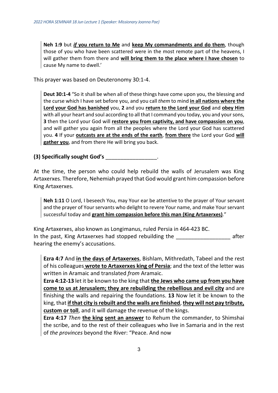**Neh 1:9** but *if* **you return to Me** and **keep My commandments and do them**, though those of you who have been scattered were in the most remote part of the heavens, I will gather them from there and **will bring them to the place where I have chosen** to cause My name to dwell.'

This prayer was based on Deuteronomy 30:1-4.

**Deut 30:1-4** "So it shall be when all of these things have come upon you, the blessing and the curse which I have set before you, and you call *them* to mind **in all nations where the Lord your God has banished** you, **2** and you **return to the Lord your God** and **obey Him** with all your heart and soul according to all that I command you today, you and your sons, **3** then the Lord your God will **restore you from captivity, and have compassion on you**, and will gather you again from all the peoples where the Lord your God has scattered you. **4** If your **outcasts are at the ends of the earth**, **from there** the Lord your God **will gather you**, and from there He will bring you back.

**(3) Specifically sought God's** \_\_\_\_\_\_\_\_\_\_\_\_\_\_\_\_\_.

At the time, the person who could help rebuild the walls of Jerusalem was King Artaxerxes. Therefore, Nehemiah prayed that God would grant him compassion before King Artaxerxes.

**Neh 1:11** O Lord, I beseech You, may Your ear be attentive to the prayer of Your servant and the prayer of Your servants who delight to revere Your name, and make Your servant successful today and **grant him compassion before this man (King Artaxerxes)**."

King Artaxerxes, also known as Longimanus, ruled Persia in 464-423 BC. In the past, King Artaxerxes had stopped rebuilding the \_\_\_\_\_\_\_\_\_\_\_\_\_\_\_\_\_\_ after hearing the enemy's accusations.

**Ezra 4:7** And **in the days of Artaxerxes**, Bishlam, Mithredath, Tabeel and the rest of his colleagues **wrote to Artaxerxes king of Persia**; and the text of the letter was written in Aramaic and translated *from* Aramaic.

**Ezra 4:12-13** let it be known to the king that **the Jews who came up from you have come to us at Jerusalem; they are rebuilding the rebellious and evil city** and are finishing the walls and repairing the foundations. **13** Now let it be known to the king, that **if that city is rebuilt and the walls are finished**, **they will not pay tribute, custom or toll**, and it will damage the revenue of the kings.

**Ezra 4:17** *Then* **the king sent an answer** to Rehum the commander, to Shimshai the scribe, and to the rest of their colleagues who live in Samaria and in the rest of *the provinces* beyond the River: "Peace. And now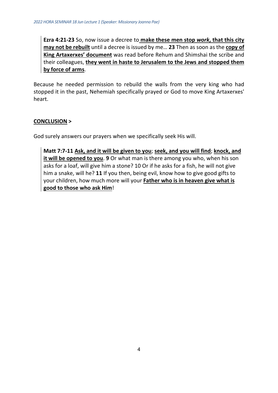**Ezra 4:21-23** So, now issue a decree to **make these men stop** *work***, that this city may not be rebuilt** until a decree is issued by me… **23** Then as soon as the **copy of King Artaxerxes' document** was read before Rehum and Shimshai the scribe and their colleagues, **they went in haste to Jerusalem to the Jews and stopped them by force of arms**.

Because he needed permission to rebuild the walls from the very king who had stopped it in the past, Nehemiah specifically prayed or God to move King Artaxerxes' heart.

#### **CONCLUSION >**

God surely answers our prayers when we specifically seek His will.

**Matt 7:7-11 Ask, and it will be given to you**; **seek, and you will find**; **knock, and it will be opened to you**. **9** Or what man is there among you who, when his son asks for a loaf, will give him a stone? 10 Or if he asks for a fish, he will not give him a snake, will he? **11** If you then, being evil, know how to give good gifts to your children, how much more will your **Father who is in heaven give what is good to those who ask Him**!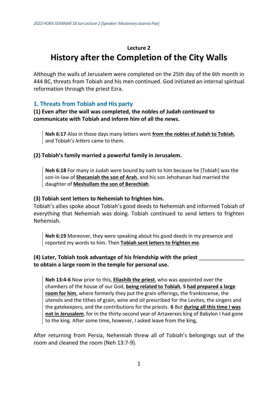# **Lecture 2 History after the Completion of the City Walls**

Although the walls of Jerusalem were completed on the 25th day of the 6th month in 444 BC, threats from Tobiah and his men continued. God initiated an internal spiritual reformation through the priest Ezra.

#### **1. Threats from Tobiah and His party**

#### **(1) Even after the wall was completed, the nobles of Judah continued to communicate with Tobiah and inform him of all the news.**

**Neh 6:17** Also in those days many letters went **from the nobles of Judah to Tobiah**, and Tobiah's *letters* came to them.

#### **(2) Tobiah's family married a powerful family in Jerusalem.**

**Neh 6:18** For many in Judah were bound by oath to him because he [Tobiah] was the son-in-law of **Shecaniah the son of Arah**, and his son Jehohanan had married the daughter of **Meshullam the son of Berechiah**.

#### **(3) Tobiah sent letters to Nehemiah to frighten him.**

Tobiah's allies spoke about Tobiah's good deeds to Nehemiah and informed Tobiah of everything that Nehemiah was doing. Tobiah continued to send letters to frighten Nehemiah.

**Neh 6:19** Moreover, they were speaking about his good deeds in my presence and reported my words to him. Then **Tobiah sent letters to frighten me**.

#### **(4) Later, Tobiah took advantage of his friendship with the priest** \_\_\_\_\_\_\_\_\_\_\_\_\_\_\_ **to obtain a large room in the temple for personal use.**

**Neh 13:4-6** Now prior to this, **Eliashib the priest**, who was appointed over the chambers of the house of our God, **being related to Tobiah**, **5 had prepared a large room for him**, where formerly they put the grain offerings, the frankincense, the utensils and the tithes of grain, wine and oil prescribed for the Levites, the singers and the gatekeepers, and the contributions for the priests. **6** But **during all this time I was not in Jerusalem**, for in the thirty-second year of Artaxerxes king of Babylon I had gone to the king. After some time, however, I asked leave from the king,

After returning from Persia, Nehemiah threw all of Tobiah's belongings out of the room and cleaned the room (Neh 13:7-9).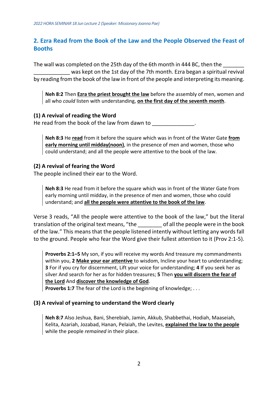#### **2. Ezra Read from the Book of the Law and the People Observed the Feast of Booths**

The wall was completed on the 25th day of the 6th month in 444 BC, then the was kept on the 1st day of the 7th month. Ezra began a spiritual revival by reading from the book of the law in front of the people and interpreting its meaning.

**Neh 8:2** Then **Ezra the priest brought the law** before the assembly of men, women and all who *could* listen with understanding, **on the first day of the seventh month**.

#### **(1) A revival of reading the Word**

He read from the book of the law from dawn to

**Neh 8:3** He **read** from it before the square which was in front of the Water Gate **from early morning until midday(noon)**, in the presence of men and women, those who could understand; and all the people were attentive to the book of the law.

#### **(2) A revival of fearing the Word**

The people inclined their ear to the Word.

**Neh 8:3** He read from it before the square which was in front of the Water Gate from early morning until midday, in the presence of men and women, those who could understand; and **all the people were attentive to the book of the law**.

Verse 3 reads, "All the people were attentive to the book of the law," but the literal translation of the original text means, "the \_\_\_\_\_\_\_\_ of all the people were in the book of the law." This means that the people listened intently without letting any words fall to the ground. People who fear the Word give their fullest attention to it (Prov 2:1-5).

**Proverbs 2:1–5** My son, if you will receive my words And treasure my commandments within you, **2 Make your ear attentive** to wisdom, Incline your heart to understanding; **3** For if you cry for discernment, Lift your voice for understanding; **4** If you seek her as silver And search for her as for hidden treasures; **5** Then **you will discern the fear of the Lord** And **discover the knowledge of God**.

**Proverbs 1:7** The fear of the Lord is the beginning of knowledge; ...

#### **(3) A revival of yearning to understand the Word clearly**

**Neh 8:7** Also Jeshua, Bani, Sherebiah, Jamin, Akkub, Shabbethai, Hodiah, Maaseiah, Kelita, Azariah, Jozabad, Hanan, Pelaiah, the Levites, **explained the law to the people** while the people *remained* in their place.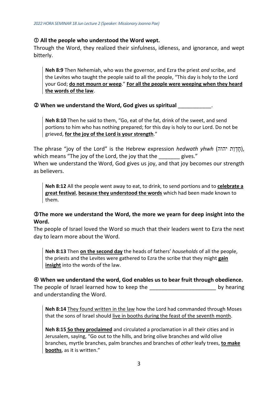#### **All the people who understood the Word wept.**

Through the Word, they realized their sinfulness, idleness, and ignorance, and wept bitterly.

**Neh 8:9** Then Nehemiah, who was the governor, and Ezra the priest *and* scribe, and the Levites who taught the people said to all the people, "This day is holy to the Lord your God; **do not mourn or weep**." **For all the people were weeping when they heard the words of the law**.

#### **When we understand the Word, God gives us spiritual** \_\_\_\_\_\_\_\_\_\_\_.

**Neh 8:10** Then he said to them, "Go, eat of the fat, drink of the sweet, and send portions to him who has nothing prepared; for this day is holy to our Lord. Do not be grieved, **for the joy of the Lord is your strength**."

The phrase "joy of the Lord" is the Hebrew expression *hedwath yhwh* (חֲדְוַת יהוה), which means "The joy of the Lord, the joy that the gives." When we understand the Word, God gives us joy, and that joy becomes our strength as believers.

**Neh 8:12** All the people went away to eat, to drink, to send portions and to **celebrate a great festival**, **because they understood the words** which had been made known to them.

#### **The more we understand the Word, the more we yearn for deep insight into the Word.**

The people of Israel loved the Word so much that their leaders went to Ezra the next day to learn more about the Word.

**Neh 8:13** Then **on the second day** the heads of fathers' *households* of all the people, the priests and the Levites were gathered to Ezra the scribe that they might **gain insight** into the words of the law.

 **When we understand the word, God enables us to bear fruit through obedience.** The people of Israel learned how to keep the the state of the state by hearing and understanding the Word.

**Neh 8:14** They found written in the law how the Lord had commanded through Moses that the sons of Israel should live in booths during the feast of the seventh month.

**Neh 8:15 So they proclaimed** and circulated a proclamation in all their cities and in Jerusalem, saying, "Go out to the hills, and bring olive branches and wild olive branches, myrtle branches, palm branches and branches of *other* leafy trees, **to make booths**, as it is written."